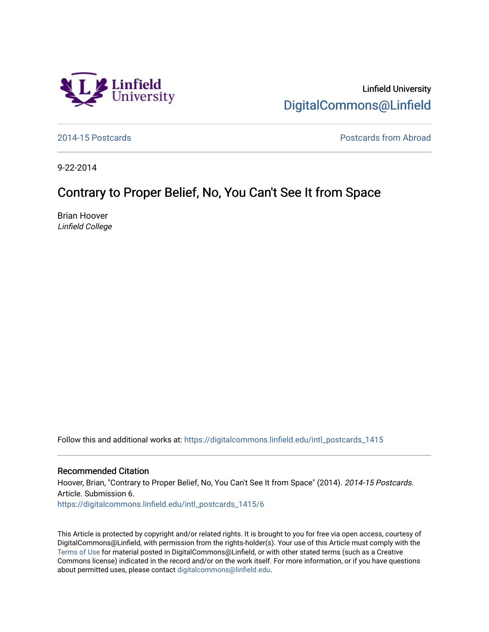

Linfield University [DigitalCommons@Linfield](https://digitalcommons.linfield.edu/) 

[2014-15 Postcards](https://digitalcommons.linfield.edu/intl_postcards_1415) [Postcards from Abroad](https://digitalcommons.linfield.edu/intl_postcards_comm) 

9-22-2014

## Contrary to Proper Belief, No, You Can't See It from Space

Brian Hoover Linfield College

Follow this and additional works at: [https://digitalcommons.linfield.edu/intl\\_postcards\\_1415](https://digitalcommons.linfield.edu/intl_postcards_1415?utm_source=digitalcommons.linfield.edu%2Fintl_postcards_1415%2F6&utm_medium=PDF&utm_campaign=PDFCoverPages)

## Recommended Citation

Hoover, Brian, "Contrary to Proper Belief, No, You Can't See It from Space" (2014). 2014-15 Postcards. Article. Submission 6.

[https://digitalcommons.linfield.edu/intl\\_postcards\\_1415/6](https://digitalcommons.linfield.edu/intl_postcards_1415/6) 

This Article is protected by copyright and/or related rights. It is brought to you for free via open access, courtesy of DigitalCommons@Linfield, with permission from the rights-holder(s). Your use of this Article must comply with the [Terms of Use](https://digitalcommons.linfield.edu/terms_of_use.html) for material posted in DigitalCommons@Linfield, or with other stated terms (such as a Creative Commons license) indicated in the record and/or on the work itself. For more information, or if you have questions about permitted uses, please contact [digitalcommons@linfield.edu.](mailto:digitalcommons@linfield.edu)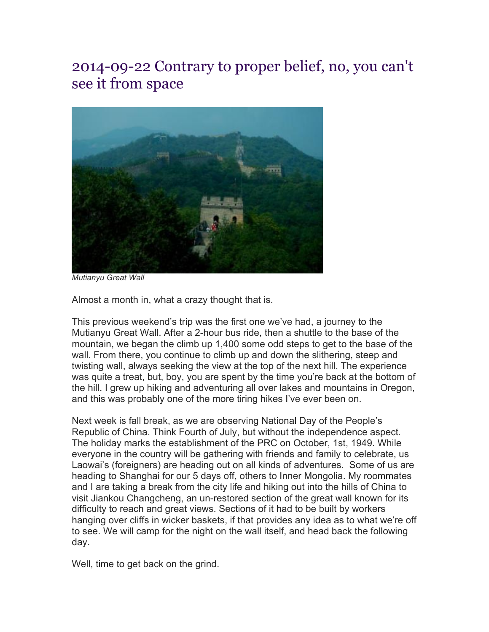## 2014-09-22 Contrary to proper belief, no, you can't see it from space



*Mutianyu Great Wall*

Almost a month in, what a crazy thought that is.

This previous weekend's trip was the first one we've had, a journey to the Mutianyu Great Wall. After a 2-hour bus ride, then a shuttle to the base of the mountain, we began the climb up 1,400 some odd steps to get to the base of the wall. From there, you continue to climb up and down the slithering, steep and twisting wall, always seeking the view at the top of the next hill. The experience was quite a treat, but, boy, you are spent by the time you're back at the bottom of the hill. I grew up hiking and adventuring all over lakes and mountains in Oregon, and this was probably one of the more tiring hikes I've ever been on.

Next week is fall break, as we are observing National Day of the People's Republic of China. Think Fourth of July, but without the independence aspect. The holiday marks the establishment of the PRC on October, 1st, 1949. While everyone in the country will be gathering with friends and family to celebrate, us Laowai's (foreigners) are heading out on all kinds of adventures. Some of us are heading to Shanghai for our 5 days off, others to Inner Mongolia. My roommates and I are taking a break from the city life and hiking out into the hills of China to visit Jiankou Changcheng, an un-restored section of the great wall known for its difficulty to reach and great views. Sections of it had to be built by workers hanging over cliffs in wicker baskets, if that provides any idea as to what we're off to see. We will camp for the night on the wall itself, and head back the following day.

Well, time to get back on the grind.